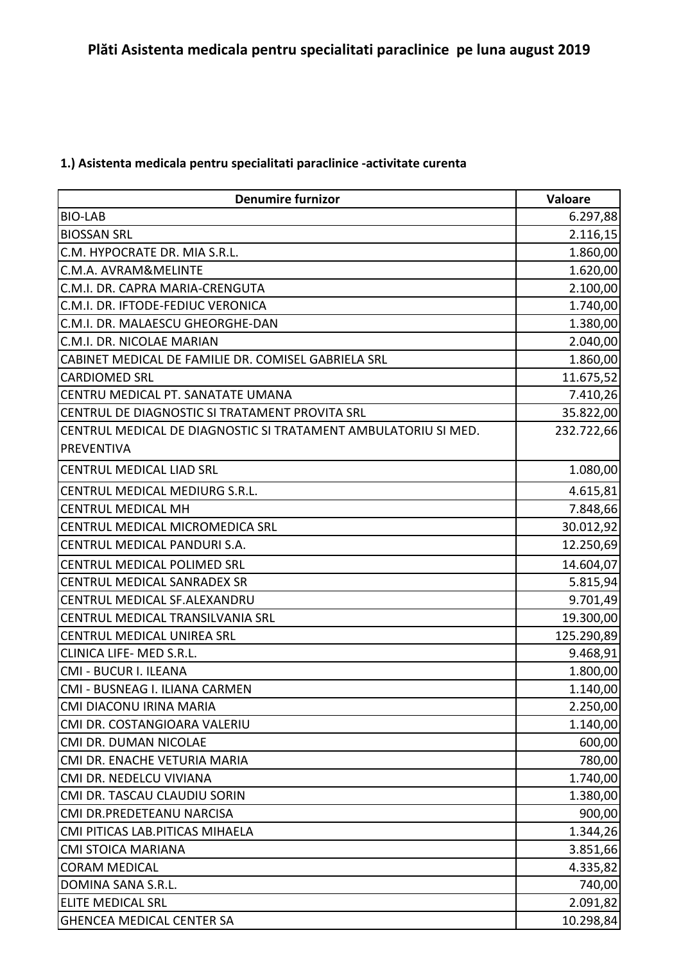## **1.) Asistenta medicala pentru specialitati paraclinice -activitate curenta**

| <b>Denumire furnizor</b>                                       | Valoare    |
|----------------------------------------------------------------|------------|
| <b>BIO-LAB</b>                                                 | 6.297,88   |
| <b>BIOSSAN SRL</b>                                             | 2.116,15   |
| C.M. HYPOCRATE DR. MIA S.R.L.                                  | 1.860,00   |
| C.M.A. AVRAM&MELINTE                                           | 1.620,00   |
| C.M.I. DR. CAPRA MARIA-CRENGUTA                                | 2.100,00   |
| C.M.I. DR. IFTODE-FEDIUC VERONICA                              | 1.740,00   |
| C.M.I. DR. MALAESCU GHEORGHE-DAN                               | 1.380,00   |
| C.M.I. DR. NICOLAE MARIAN                                      | 2.040,00   |
| CABINET MEDICAL DE FAMILIE DR. COMISEL GABRIELA SRL            | 1.860,00   |
| <b>CARDIOMED SRL</b>                                           | 11.675,52  |
| CENTRU MEDICAL PT. SANATATE UMANA                              | 7.410,26   |
| CENTRUL DE DIAGNOSTIC SI TRATAMENT PROVITA SRL                 | 35.822,00  |
| CENTRUL MEDICAL DE DIAGNOSTIC SI TRATAMENT AMBULATORIU SI MED. | 232.722,66 |
| <b>PREVENTIVA</b>                                              |            |
| <b>CENTRUL MEDICAL LIAD SRL</b>                                | 1.080,00   |
| CENTRUL MEDICAL MEDIURG S.R.L.                                 | 4.615,81   |
| <b>CENTRUL MEDICAL MH</b>                                      | 7.848,66   |
| CENTRUL MEDICAL MICROMEDICA SRL                                | 30.012,92  |
| CENTRUL MEDICAL PANDURI S.A.                                   | 12.250,69  |
| CENTRUL MEDICAL POLIMED SRL                                    | 14.604,07  |
| CENTRUL MEDICAL SANRADEX SR                                    | 5.815,94   |
| CENTRUL MEDICAL SF.ALEXANDRU                                   | 9.701,49   |
| CENTRUL MEDICAL TRANSILVANIA SRL                               | 19.300,00  |
| CENTRUL MEDICAL UNIREA SRL                                     | 125.290,89 |
| CLINICA LIFE- MED S.R.L.                                       | 9.468,91   |
| CMI - BUCUR I. ILEANA                                          | 1.800,00   |
| CMI - BUSNEAG I. ILIANA CARMEN                                 | 1.140,00   |
| CMI DIACONU IRINA MARIA                                        | 2.250,00   |
| CMI DR. COSTANGIOARA VALERIU                                   | 1.140,00   |
| CMI DR. DUMAN NICOLAE                                          | 600,00     |
| CMI DR. ENACHE VETURIA MARIA                                   | 780,00     |
| CMI DR. NEDELCU VIVIANA                                        | 1.740,00   |
| CMI DR. TASCAU CLAUDIU SORIN                                   | 1.380,00   |
| CMI DR.PREDETEANU NARCISA                                      | 900,00     |
| CMI PITICAS LAB. PITICAS MIHAELA                               | 1.344,26   |
| <b>CMI STOICA MARIANA</b>                                      | 3.851,66   |
| <b>CORAM MEDICAL</b>                                           | 4.335,82   |
| DOMINA SANA S.R.L.                                             | 740,00     |
| <b>ELITE MEDICAL SRL</b>                                       | 2.091,82   |
| <b>GHENCEA MEDICAL CENTER SA</b>                               | 10.298,84  |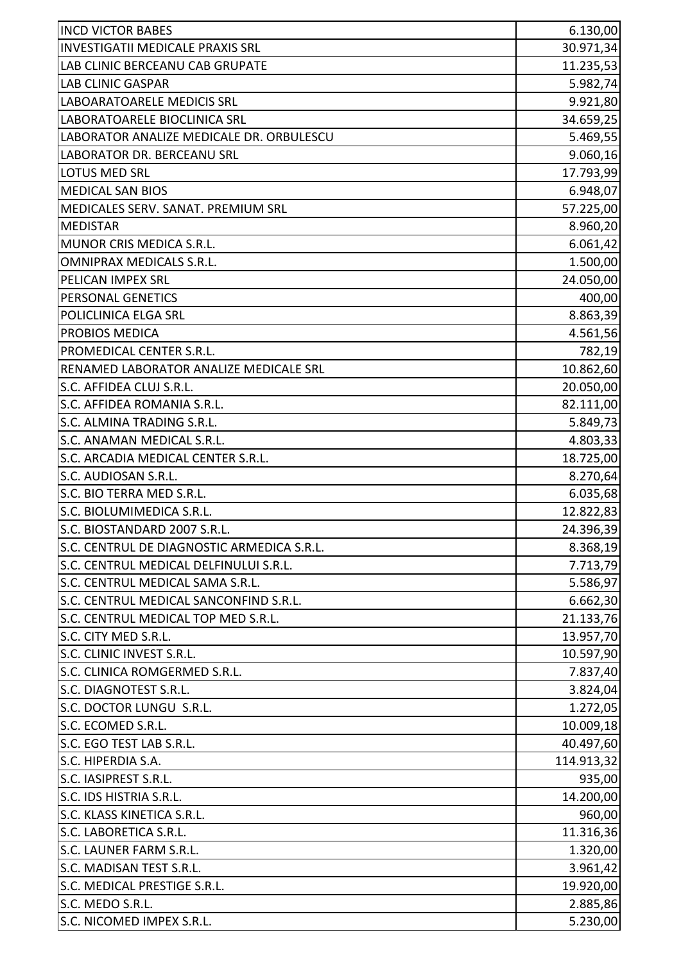| <b>INCD VICTOR BABES</b>                   | 6.130,00   |
|--------------------------------------------|------------|
| <b>INVESTIGATII MEDICALE PRAXIS SRL</b>    | 30.971,34  |
| LAB CLINIC BERCEANU CAB GRUPATE            | 11.235,53  |
| <b>LAB CLINIC GASPAR</b>                   | 5.982,74   |
| LABOARATOARELE MEDICIS SRL                 | 9.921,80   |
| LABORATOARELE BIOCLINICA SRL               | 34.659,25  |
| LABORATOR ANALIZE MEDICALE DR. ORBULESCU   | 5.469,55   |
| <b>LABORATOR DR. BERCEANU SRL</b>          | 9.060,16   |
| <b>LOTUS MED SRL</b>                       | 17.793,99  |
| <b>MEDICAL SAN BIOS</b>                    | 6.948,07   |
| MEDICALES SERV. SANAT. PREMIUM SRL         | 57.225,00  |
| <b>MEDISTAR</b>                            | 8.960,20   |
| MUNOR CRIS MEDICA S.R.L.                   | 6.061,42   |
| OMNIPRAX MEDICALS S.R.L.                   | 1.500,00   |
| PELICAN IMPEX SRL                          | 24.050,00  |
| PERSONAL GENETICS                          | 400,00     |
| POLICLINICA ELGA SRL                       | 8.863,39   |
| <b>PROBIOS MEDICA</b>                      | 4.561,56   |
| PROMEDICAL CENTER S.R.L.                   | 782,19     |
| RENAMED LABORATOR ANALIZE MEDICALE SRL     | 10.862,60  |
| S.C. AFFIDEA CLUJ S.R.L.                   | 20.050,00  |
| S.C. AFFIDEA ROMANIA S.R.L.                | 82.111,00  |
| S.C. ALMINA TRADING S.R.L.                 | 5.849,73   |
| S.C. ANAMAN MEDICAL S.R.L.                 | 4.803,33   |
| S.C. ARCADIA MEDICAL CENTER S.R.L.         | 18.725,00  |
| S.C. AUDIOSAN S.R.L.                       | 8.270,64   |
| S.C. BIO TERRA MED S.R.L.                  | 6.035,68   |
| S.C. BIOLUMIMEDICA S.R.L.                  | 12.822,83  |
| S.C. BIOSTANDARD 2007 S.R.L                | 24.396,39  |
| S.C. CENTRUL DE DIAGNOSTIC ARMEDICA S.R.L. | 8.368,19   |
| S.C. CENTRUL MEDICAL DELFINULUI S.R.L.     | 7.713,79   |
| S.C. CENTRUL MEDICAL SAMA S.R.L.           | 5.586,97   |
| S.C. CENTRUL MEDICAL SANCONFIND S.R.L.     | 6.662,30   |
| S.C. CENTRUL MEDICAL TOP MED S.R.L.        | 21.133,76  |
| S.C. CITY MED S.R.L.                       | 13.957,70  |
| S.C. CLINIC INVEST S.R.L.                  | 10.597,90  |
| S.C. CLINICA ROMGERMED S.R.L.              | 7.837,40   |
| S.C. DIAGNOTEST S.R.L.                     | 3.824,04   |
| S.C. DOCTOR LUNGU S.R.L.                   | 1.272,05   |
| S.C. ECOMED S.R.L.                         | 10.009,18  |
| S.C. EGO TEST LAB S.R.L.                   | 40.497,60  |
| S.C. HIPERDIA S.A.                         | 114.913,32 |
| S.C. IASIPREST S.R.L.                      | 935,00     |
| S.C. IDS HISTRIA S.R.L.                    | 14.200,00  |
| S.C. KLASS KINETICA S.R.L.                 | 960,00     |
| S.C. LABORETICA S.R.L.                     | 11.316,36  |
| S.C. LAUNER FARM S.R.L.                    | 1.320,00   |
| S.C. MADISAN TEST S.R.L.                   | 3.961,42   |
| S.C. MEDICAL PRESTIGE S.R.L.               | 19.920,00  |
| S.C. MEDO S.R.L.                           | 2.885,86   |
| S.C. NICOMED IMPEX S.R.L.                  | 5.230,00   |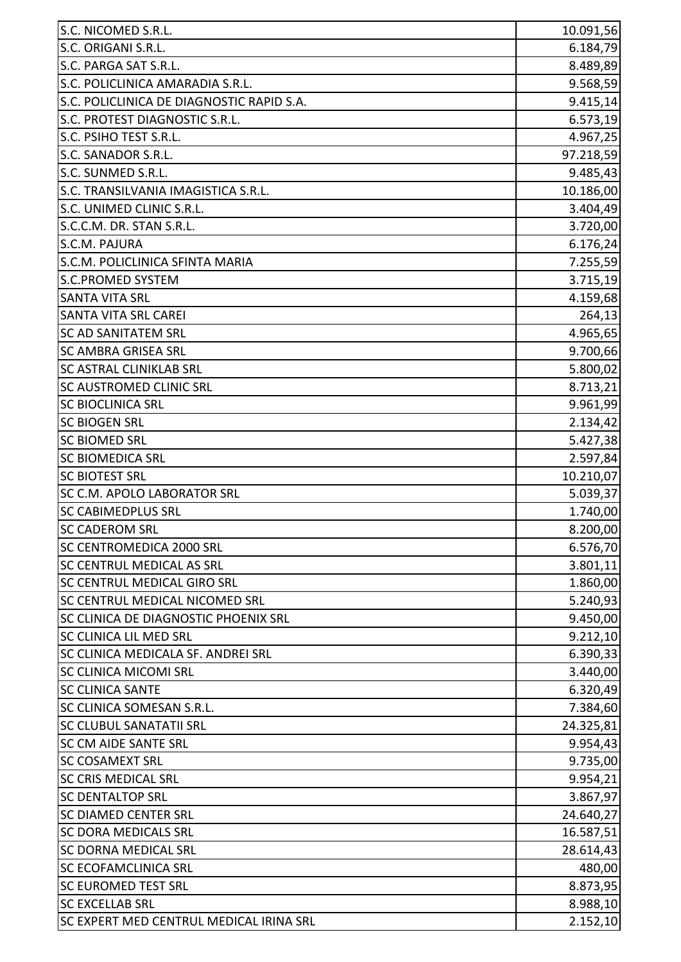| S.C. ORIGANI S.R.L.<br>6.184,79<br>S.C. PARGA SAT S.R.L.<br>8.489,89<br>S.C. POLICLINICA AMARADIA S.R.L.<br>9.568,59<br>S.C. POLICLINICA DE DIAGNOSTIC RAPID S.A.<br>9.415,14<br>S.C. PROTEST DIAGNOSTIC S.R.L.<br>S.C. PSIHO TEST S.R.L.<br>4.967,25<br>S.C. SANADOR S.R.L.<br>97.218,59<br>S.C. SUNMED S.R.L.<br>9.485,43<br>S.C. TRANSILVANIA IMAGISTICA S.R.L.<br>10.186,00<br>S.C. UNIMED CLINIC S.R.L.<br>3.404,49<br>S.C.C.M. DR. STAN S.R.L.<br>3.720,00<br>S.C.M. PAJURA<br>6.176,24<br>S.C.M. POLICLINICA SFINTA MARIA<br>7.255,59<br><b>S.C.PROMED SYSTEM</b><br>3.715,19<br><b>SANTA VITA SRL</b><br>4.159,68<br><b>SANTA VITA SRL CAREI</b><br>264,13<br>4.965,65<br><b>SC AD SANITATEM SRL</b><br><b>SC AMBRA GRISEA SRL</b><br>9.700,66<br>5.800,02<br><b>SC ASTRAL CLINIKLAB SRL</b><br><b>SC AUSTROMED CLINIC SRL</b><br>8.713,21<br><b>SC BIOCLINICA SRL</b><br>9.961,99<br><b>SC BIOGEN SRL</b><br>2.134,42<br><b>SC BIOMED SRL</b><br>5.427,38<br><b>SC BIOMEDICA SRL</b><br>2.597,84<br><b>SC BIOTEST SRL</b><br>10.210,07<br><b>SC C.M. APOLO LABORATOR SRL</b><br>5.039,37<br><b>SC CABIMEDPLUS SRL</b><br>1.740,00<br>SC CADEROM SRL<br>SC CENTROMEDICA 2000 SRL<br>6.576,70<br><b>SC CENTRUL MEDICAL AS SRL</b><br>3.801,11<br>SC CENTRUL MEDICAL GIRO SRL<br>1.860,00<br><b>SC CENTRUL MEDICAL NICOMED SRL</b><br>5.240,93 |
|------------------------------------------------------------------------------------------------------------------------------------------------------------------------------------------------------------------------------------------------------------------------------------------------------------------------------------------------------------------------------------------------------------------------------------------------------------------------------------------------------------------------------------------------------------------------------------------------------------------------------------------------------------------------------------------------------------------------------------------------------------------------------------------------------------------------------------------------------------------------------------------------------------------------------------------------------------------------------------------------------------------------------------------------------------------------------------------------------------------------------------------------------------------------------------------------------------------------------------------------------------------------------------------------------------------------------------------------------|
| 6.573,19<br>8.200,00                                                                                                                                                                                                                                                                                                                                                                                                                                                                                                                                                                                                                                                                                                                                                                                                                                                                                                                                                                                                                                                                                                                                                                                                                                                                                                                                 |
|                                                                                                                                                                                                                                                                                                                                                                                                                                                                                                                                                                                                                                                                                                                                                                                                                                                                                                                                                                                                                                                                                                                                                                                                                                                                                                                                                      |
|                                                                                                                                                                                                                                                                                                                                                                                                                                                                                                                                                                                                                                                                                                                                                                                                                                                                                                                                                                                                                                                                                                                                                                                                                                                                                                                                                      |
|                                                                                                                                                                                                                                                                                                                                                                                                                                                                                                                                                                                                                                                                                                                                                                                                                                                                                                                                                                                                                                                                                                                                                                                                                                                                                                                                                      |
|                                                                                                                                                                                                                                                                                                                                                                                                                                                                                                                                                                                                                                                                                                                                                                                                                                                                                                                                                                                                                                                                                                                                                                                                                                                                                                                                                      |
|                                                                                                                                                                                                                                                                                                                                                                                                                                                                                                                                                                                                                                                                                                                                                                                                                                                                                                                                                                                                                                                                                                                                                                                                                                                                                                                                                      |
|                                                                                                                                                                                                                                                                                                                                                                                                                                                                                                                                                                                                                                                                                                                                                                                                                                                                                                                                                                                                                                                                                                                                                                                                                                                                                                                                                      |
|                                                                                                                                                                                                                                                                                                                                                                                                                                                                                                                                                                                                                                                                                                                                                                                                                                                                                                                                                                                                                                                                                                                                                                                                                                                                                                                                                      |
|                                                                                                                                                                                                                                                                                                                                                                                                                                                                                                                                                                                                                                                                                                                                                                                                                                                                                                                                                                                                                                                                                                                                                                                                                                                                                                                                                      |
|                                                                                                                                                                                                                                                                                                                                                                                                                                                                                                                                                                                                                                                                                                                                                                                                                                                                                                                                                                                                                                                                                                                                                                                                                                                                                                                                                      |
|                                                                                                                                                                                                                                                                                                                                                                                                                                                                                                                                                                                                                                                                                                                                                                                                                                                                                                                                                                                                                                                                                                                                                                                                                                                                                                                                                      |
|                                                                                                                                                                                                                                                                                                                                                                                                                                                                                                                                                                                                                                                                                                                                                                                                                                                                                                                                                                                                                                                                                                                                                                                                                                                                                                                                                      |
|                                                                                                                                                                                                                                                                                                                                                                                                                                                                                                                                                                                                                                                                                                                                                                                                                                                                                                                                                                                                                                                                                                                                                                                                                                                                                                                                                      |
|                                                                                                                                                                                                                                                                                                                                                                                                                                                                                                                                                                                                                                                                                                                                                                                                                                                                                                                                                                                                                                                                                                                                                                                                                                                                                                                                                      |
|                                                                                                                                                                                                                                                                                                                                                                                                                                                                                                                                                                                                                                                                                                                                                                                                                                                                                                                                                                                                                                                                                                                                                                                                                                                                                                                                                      |
|                                                                                                                                                                                                                                                                                                                                                                                                                                                                                                                                                                                                                                                                                                                                                                                                                                                                                                                                                                                                                                                                                                                                                                                                                                                                                                                                                      |
|                                                                                                                                                                                                                                                                                                                                                                                                                                                                                                                                                                                                                                                                                                                                                                                                                                                                                                                                                                                                                                                                                                                                                                                                                                                                                                                                                      |
|                                                                                                                                                                                                                                                                                                                                                                                                                                                                                                                                                                                                                                                                                                                                                                                                                                                                                                                                                                                                                                                                                                                                                                                                                                                                                                                                                      |
|                                                                                                                                                                                                                                                                                                                                                                                                                                                                                                                                                                                                                                                                                                                                                                                                                                                                                                                                                                                                                                                                                                                                                                                                                                                                                                                                                      |
|                                                                                                                                                                                                                                                                                                                                                                                                                                                                                                                                                                                                                                                                                                                                                                                                                                                                                                                                                                                                                                                                                                                                                                                                                                                                                                                                                      |
|                                                                                                                                                                                                                                                                                                                                                                                                                                                                                                                                                                                                                                                                                                                                                                                                                                                                                                                                                                                                                                                                                                                                                                                                                                                                                                                                                      |
|                                                                                                                                                                                                                                                                                                                                                                                                                                                                                                                                                                                                                                                                                                                                                                                                                                                                                                                                                                                                                                                                                                                                                                                                                                                                                                                                                      |
|                                                                                                                                                                                                                                                                                                                                                                                                                                                                                                                                                                                                                                                                                                                                                                                                                                                                                                                                                                                                                                                                                                                                                                                                                                                                                                                                                      |
|                                                                                                                                                                                                                                                                                                                                                                                                                                                                                                                                                                                                                                                                                                                                                                                                                                                                                                                                                                                                                                                                                                                                                                                                                                                                                                                                                      |
|                                                                                                                                                                                                                                                                                                                                                                                                                                                                                                                                                                                                                                                                                                                                                                                                                                                                                                                                                                                                                                                                                                                                                                                                                                                                                                                                                      |
|                                                                                                                                                                                                                                                                                                                                                                                                                                                                                                                                                                                                                                                                                                                                                                                                                                                                                                                                                                                                                                                                                                                                                                                                                                                                                                                                                      |
|                                                                                                                                                                                                                                                                                                                                                                                                                                                                                                                                                                                                                                                                                                                                                                                                                                                                                                                                                                                                                                                                                                                                                                                                                                                                                                                                                      |
|                                                                                                                                                                                                                                                                                                                                                                                                                                                                                                                                                                                                                                                                                                                                                                                                                                                                                                                                                                                                                                                                                                                                                                                                                                                                                                                                                      |
|                                                                                                                                                                                                                                                                                                                                                                                                                                                                                                                                                                                                                                                                                                                                                                                                                                                                                                                                                                                                                                                                                                                                                                                                                                                                                                                                                      |
|                                                                                                                                                                                                                                                                                                                                                                                                                                                                                                                                                                                                                                                                                                                                                                                                                                                                                                                                                                                                                                                                                                                                                                                                                                                                                                                                                      |
|                                                                                                                                                                                                                                                                                                                                                                                                                                                                                                                                                                                                                                                                                                                                                                                                                                                                                                                                                                                                                                                                                                                                                                                                                                                                                                                                                      |
|                                                                                                                                                                                                                                                                                                                                                                                                                                                                                                                                                                                                                                                                                                                                                                                                                                                                                                                                                                                                                                                                                                                                                                                                                                                                                                                                                      |
| 9.450,00<br>SC CLINICA DE DIAGNOSTIC PHOENIX SRL                                                                                                                                                                                                                                                                                                                                                                                                                                                                                                                                                                                                                                                                                                                                                                                                                                                                                                                                                                                                                                                                                                                                                                                                                                                                                                     |
| 9.212,10<br><b>SC CLINICA LIL MED SRL</b>                                                                                                                                                                                                                                                                                                                                                                                                                                                                                                                                                                                                                                                                                                                                                                                                                                                                                                                                                                                                                                                                                                                                                                                                                                                                                                            |
| SC CLINICA MEDICALA SF. ANDREI SRL<br>6.390,33                                                                                                                                                                                                                                                                                                                                                                                                                                                                                                                                                                                                                                                                                                                                                                                                                                                                                                                                                                                                                                                                                                                                                                                                                                                                                                       |
| 3.440,00<br><b>SC CLINICA MICOMI SRL</b>                                                                                                                                                                                                                                                                                                                                                                                                                                                                                                                                                                                                                                                                                                                                                                                                                                                                                                                                                                                                                                                                                                                                                                                                                                                                                                             |
| <b>SC CLINICA SANTE</b><br>6.320,49                                                                                                                                                                                                                                                                                                                                                                                                                                                                                                                                                                                                                                                                                                                                                                                                                                                                                                                                                                                                                                                                                                                                                                                                                                                                                                                  |
| <b>SC CLINICA SOMESAN S.R.L.</b><br>7.384,60                                                                                                                                                                                                                                                                                                                                                                                                                                                                                                                                                                                                                                                                                                                                                                                                                                                                                                                                                                                                                                                                                                                                                                                                                                                                                                         |
| <b>SC CLUBUL SANATATII SRL</b><br>24.325,81                                                                                                                                                                                                                                                                                                                                                                                                                                                                                                                                                                                                                                                                                                                                                                                                                                                                                                                                                                                                                                                                                                                                                                                                                                                                                                          |
| <b>SC CM AIDE SANTE SRL</b><br>9.954,43                                                                                                                                                                                                                                                                                                                                                                                                                                                                                                                                                                                                                                                                                                                                                                                                                                                                                                                                                                                                                                                                                                                                                                                                                                                                                                              |
| <b>SC COSAMEXT SRL</b><br>9.735,00                                                                                                                                                                                                                                                                                                                                                                                                                                                                                                                                                                                                                                                                                                                                                                                                                                                                                                                                                                                                                                                                                                                                                                                                                                                                                                                   |
| <b>SC CRIS MEDICAL SRL</b><br>9.954,21                                                                                                                                                                                                                                                                                                                                                                                                                                                                                                                                                                                                                                                                                                                                                                                                                                                                                                                                                                                                                                                                                                                                                                                                                                                                                                               |
| <b>SC DENTALTOP SRL</b><br>3.867,97                                                                                                                                                                                                                                                                                                                                                                                                                                                                                                                                                                                                                                                                                                                                                                                                                                                                                                                                                                                                                                                                                                                                                                                                                                                                                                                  |
| <b>SC DIAMED CENTER SRL</b><br>24.640,27                                                                                                                                                                                                                                                                                                                                                                                                                                                                                                                                                                                                                                                                                                                                                                                                                                                                                                                                                                                                                                                                                                                                                                                                                                                                                                             |
| <b>SC DORA MEDICALS SRL</b><br>16.587,51                                                                                                                                                                                                                                                                                                                                                                                                                                                                                                                                                                                                                                                                                                                                                                                                                                                                                                                                                                                                                                                                                                                                                                                                                                                                                                             |
| <b>SC DORNA MEDICAL SRL</b><br>28.614,43                                                                                                                                                                                                                                                                                                                                                                                                                                                                                                                                                                                                                                                                                                                                                                                                                                                                                                                                                                                                                                                                                                                                                                                                                                                                                                             |
| <b>SC ECOFAMCLINICA SRL</b><br>480,00                                                                                                                                                                                                                                                                                                                                                                                                                                                                                                                                                                                                                                                                                                                                                                                                                                                                                                                                                                                                                                                                                                                                                                                                                                                                                                                |
| <b>SC EUROMED TEST SRL</b><br>8.873,95                                                                                                                                                                                                                                                                                                                                                                                                                                                                                                                                                                                                                                                                                                                                                                                                                                                                                                                                                                                                                                                                                                                                                                                                                                                                                                               |
| 8.988,10<br><b>SC EXCELLAB SRL</b>                                                                                                                                                                                                                                                                                                                                                                                                                                                                                                                                                                                                                                                                                                                                                                                                                                                                                                                                                                                                                                                                                                                                                                                                                                                                                                                   |
| SC EXPERT MED CENTRUL MEDICAL IRINA SRL<br>2.152,10                                                                                                                                                                                                                                                                                                                                                                                                                                                                                                                                                                                                                                                                                                                                                                                                                                                                                                                                                                                                                                                                                                                                                                                                                                                                                                  |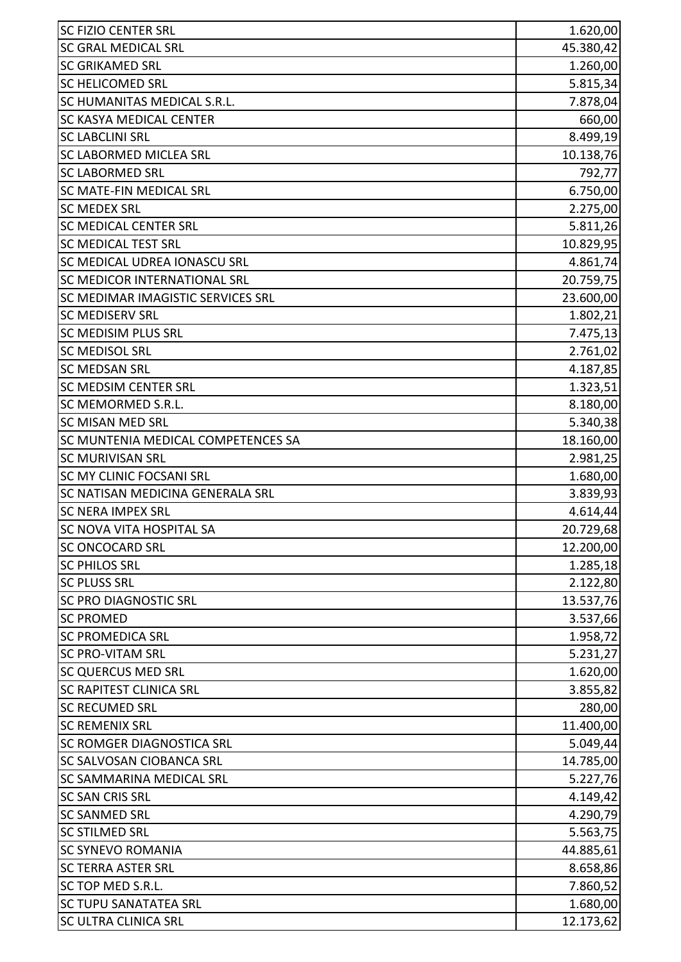| <b>SC FIZIO CENTER SRL</b>          | 1.620,00  |
|-------------------------------------|-----------|
| <b>SC GRAL MEDICAL SRL</b>          | 45.380,42 |
| <b>SC GRIKAMED SRL</b>              | 1.260,00  |
| <b>SC HELICOMED SRL</b>             | 5.815,34  |
| SC HUMANITAS MEDICAL S.R.L.         | 7.878,04  |
| SC KASYA MEDICAL CENTER             | 660,00    |
| <b>SC LABCLINI SRL</b>              | 8.499,19  |
| <b>SC LABORMED MICLEA SRL</b>       | 10.138,76 |
| <b>SC LABORMED SRL</b>              | 792,77    |
| SC MATE-FIN MEDICAL SRL             | 6.750,00  |
| <b>SC MEDEX SRL</b>                 | 2.275,00  |
| SC MEDICAL CENTER SRL               | 5.811,26  |
| <b>SC MEDICAL TEST SRL</b>          | 10.829,95 |
| <b>SC MEDICAL UDREA IONASCU SRL</b> | 4.861,74  |
| SC MEDICOR INTERNATIONAL SRL        | 20.759,75 |
| SC MEDIMAR IMAGISTIC SERVICES SRL   | 23.600,00 |
| <b>SC MEDISERV SRL</b>              | 1.802,21  |
| <b>SC MEDISIM PLUS SRL</b>          | 7.475,13  |
| <b>SC MEDISOL SRL</b>               | 2.761,02  |
| <b>SC MEDSAN SRL</b>                | 4.187,85  |
| <b>SC MEDSIM CENTER SRL</b>         | 1.323,51  |
| SC MEMORMED S.R.L.                  | 8.180,00  |
| <b>SC MISAN MED SRL</b>             | 5.340,38  |
| SC MUNTENIA MEDICAL COMPETENCES SA  | 18.160,00 |
| <b>SC MURIVISAN SRL</b>             | 2.981,25  |
| SC MY CLINIC FOCSANI SRL            | 1.680,00  |
| SC NATISAN MEDICINA GENERALA SRL    | 3.839,93  |
| <b>SC NERA IMPEX SRL</b>            | 4.614,44  |
| SC NOVA VITA HOSPITAL SA            | 20.729,68 |
| <b>SC ONCOCARD SRL</b>              | 12.200,00 |
| <b>SC PHILOS SRL</b>                | 1.285,18  |
| <b>SC PLUSS SRL</b>                 | 2.122,80  |
| <b>SC PRO DIAGNOSTIC SRL</b>        | 13.537,76 |
| <b>SC PROMED</b>                    | 3.537,66  |
| <b>SC PROMEDICA SRL</b>             | 1.958,72  |
| <b>SC PRO-VITAM SRL</b>             | 5.231,27  |
| <b>SC QUERCUS MED SRL</b>           | 1.620,00  |
| <b>SC RAPITEST CLINICA SRL</b>      | 3.855,82  |
| <b>SC RECUMED SRL</b>               | 280,00    |
| <b>SC REMENIX SRL</b>               | 11.400,00 |
| SC ROMGER DIAGNOSTICA SRL           | 5.049,44  |
| <b>SC SALVOSAN CIOBANCA SRL</b>     | 14.785,00 |
| <b>SC SAMMARINA MEDICAL SRL</b>     | 5.227,76  |
| <b>SC SAN CRIS SRL</b>              | 4.149,42  |
| <b>SC SANMED SRL</b>                | 4.290,79  |
| <b>SC STILMED SRL</b>               | 5.563,75  |
| <b>SC SYNEVO ROMANIA</b>            | 44.885,61 |
| <b>SC TERRA ASTER SRL</b>           | 8.658,86  |
| SC TOP MED S.R.L.                   | 7.860,52  |
| <b>SC TUPU SANATATEA SRL</b>        | 1.680,00  |
| <b>SC ULTRA CLINICA SRL</b>         | 12.173,62 |